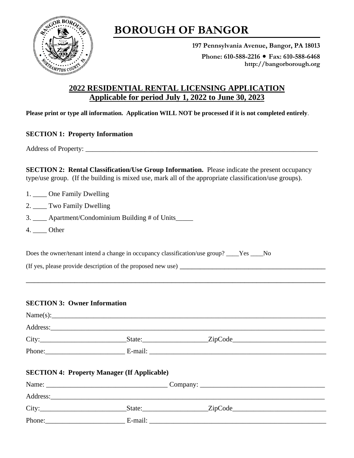

# **BOROUGH OF BANGOR**

**197 Pennsylvania Avenue, Bangor, PA 18013** Phone: 610-588-2216 ● Fax: 610-588-6468 **http://bangorborough.org**

### **2022 RESIDENTIAL RENTAL LICENSING APPLICATION Applicable for period July 1, 2022 to June 30, 2023**

**Please print or type all information. Application WILL NOT be processed if it is not completed entirely**.

#### **SECTION 1: Property Information**

Address of Property: \_\_\_\_\_\_\_\_\_\_\_\_\_\_\_\_\_\_\_\_\_\_\_\_\_\_\_\_\_\_\_\_\_\_\_\_\_\_\_\_\_\_\_\_\_\_\_\_\_\_\_\_\_\_\_\_\_\_\_\_\_\_\_\_\_\_\_

**SECTION 2: Rental Classification/Use Group Information.** Please indicate the present occupancy type/use group. (If the building is mixed use, mark all of the appropriate classification/use groups).

- 1. \_\_\_\_ One Family Dwelling
- 2. \_\_\_\_ Two Family Dwelling
- 3. \_\_\_\_ Apartment/Condominium Building # of Units\_\_\_\_\_
- 4. Other

Does the owner/tenant intend a change in occupancy classification/use group? \_\_\_\_Yes \_\_\_\_No

(If yes, please provide description of the proposed new use) \_\_\_\_\_\_\_\_\_\_\_\_\_\_\_\_\_\_\_\_\_\_\_\_\_\_\_\_\_\_\_\_\_\_\_\_

#### **SECTION 3: Owner Information**

| <b>SECTION 4: Property Manager (If Applicable)</b> |  |  |  |  |  |
|----------------------------------------------------|--|--|--|--|--|
|                                                    |  |  |  |  |  |
|                                                    |  |  |  |  |  |
|                                                    |  |  |  |  |  |
|                                                    |  |  |  |  |  |

\_\_\_\_\_\_\_\_\_\_\_\_\_\_\_\_\_\_\_\_\_\_\_\_\_\_\_\_\_\_\_\_\_\_\_\_\_\_\_\_\_\_\_\_\_\_\_\_\_\_\_\_\_\_\_\_\_\_\_\_\_\_\_\_\_\_\_\_\_\_\_\_\_\_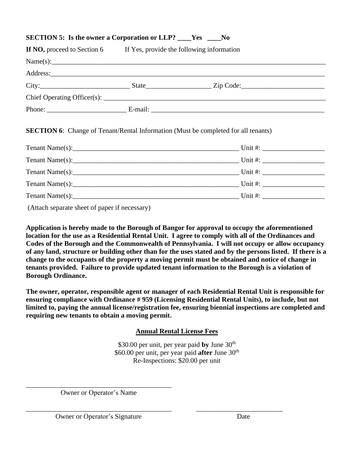## **SECTION 5: Is the owner a Corporation or LLP? \_\_\_\_Yes \_\_\_\_No If NO,** proceed to Section 6 If Yes, provide the following information  $Name(s):$ Address:\_\_\_\_\_\_\_\_\_\_\_\_\_\_\_\_\_\_\_\_\_\_\_\_\_\_\_\_\_\_\_\_\_\_\_\_\_\_\_\_\_\_\_\_\_\_\_\_\_\_\_\_\_\_\_\_\_\_\_\_\_\_\_\_\_\_\_\_\_\_\_\_\_\_\_\_\_\_\_ City:\_\_\_\_\_\_\_\_\_\_\_\_\_\_\_\_\_\_\_\_\_\_\_\_\_\_ State\_\_\_\_\_\_\_\_\_\_\_\_\_\_\_\_\_\_\_ Zip Code:\_\_\_\_\_\_\_\_\_\_\_\_\_\_\_\_\_\_\_\_\_\_\_\_  $\text{Chief Operating Officer}(s):$ Phone: E-mail: E-mail: **E-mail: E-mail: E-mail: E-mail: E-mail: E-mail: E-mail: E-mail: E-mail: E-mail: E-mail: E-mail: E-mail: E-mail: E-mail: E-mail: E-mail: E-mail: E-mail: E-mail: SECTION 6:** Change of Tenant/Rental Information (Must be completed for all tenants) Tenant Name(s):\_\_\_\_\_\_\_\_\_\_\_\_\_\_\_\_\_\_\_\_\_\_\_\_\_\_\_\_\_\_\_\_\_\_\_\_\_\_\_\_\_\_\_\_\_\_\_\_ Unit #: \_\_\_\_\_\_\_\_\_\_\_\_\_\_\_\_\_\_ Tenant Name(s):\_\_\_\_\_\_\_\_\_\_\_\_\_\_\_\_\_\_\_\_\_\_\_\_\_\_\_\_\_\_\_\_\_\_\_\_\_\_\_\_\_\_\_\_\_\_\_\_ Unit #: \_\_\_\_\_\_\_\_\_\_\_\_\_\_\_\_\_\_ Tenant Name(s):\_\_\_\_\_\_\_\_\_\_\_\_\_\_\_\_\_\_\_\_\_\_\_\_\_\_\_\_\_\_\_\_\_\_\_\_\_\_\_\_\_\_\_\_\_\_\_\_ Unit #: \_\_\_\_\_\_\_\_\_\_\_\_\_\_\_\_\_\_ Tenant Name(s):\_\_\_\_\_\_\_\_\_\_\_\_\_\_\_\_\_\_\_\_\_\_\_\_\_\_\_\_\_\_\_\_\_\_\_\_\_\_\_\_\_\_\_\_\_\_\_\_ Unit #: \_\_\_\_\_\_\_\_\_\_\_\_\_\_\_\_\_\_

(Attach separate sheet of paper if necessary)

**Application is hereby made to the Borough of Bangor for approval to occupy the aforementioned location for the use as a Residential Rental Unit. I agree to comply with all of the Ordinances and Codes of the Borough and the Commonwealth of Pennsylvania. I will not occupy or allow occupancy of any land, structure or building other than for the uses stated and by the persons listed. If there is a change to the occupants of the property a moving permit must be obtained and notice of change in tenants provided. Failure to provide updated tenant information to the Borough is a violation of Borough Ordinance.**

Tenant Name(s):\_\_\_\_\_\_\_\_\_\_\_\_\_\_\_\_\_\_\_\_\_\_\_\_\_\_\_\_\_\_\_\_\_\_\_\_\_\_\_\_\_\_\_\_\_\_\_\_ Unit #: \_\_\_\_\_\_\_\_\_\_\_\_\_\_\_\_\_\_

**The owner, operator, responsible agent or manager of each Residential Rental Unit is responsible for ensuring compliance with Ordinance # 959 (Licensing Residential Rental Units), to include, but not limited to, paying the annual license/registration fee, ensuring biennial inspections are completed and requiring new tenants to obtain a moving permit.** 

**Annual Rental License Fees**

\$30.00 per unit, per year paid **by** June 30<sup>th</sup> \$60.00 per unit, per year paid **after** June 30<sup>th</sup> Re-Inspections: \$20.00 per unit

\_\_\_\_\_\_\_\_\_\_\_\_\_\_\_\_\_\_\_\_\_\_\_\_\_\_\_\_\_\_\_\_\_\_\_\_\_\_\_\_\_\_ Owner or Operator's Name

Owner or Operator's Signature Date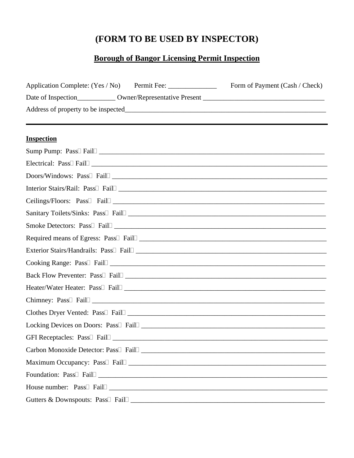### **(FORM TO BE USED BY INSPECTOR)**

### **Borough of Bangor Licensing Permit Inspection**

| Application Complete: (Yes / No) Permit Fee: _______________ | Form of Payment (Cash / Check)                                                                                 |
|--------------------------------------------------------------|----------------------------------------------------------------------------------------------------------------|
|                                                              |                                                                                                                |
|                                                              |                                                                                                                |
|                                                              |                                                                                                                |
| <b>Inspection</b>                                            |                                                                                                                |
| Sump Pump: Pass <sup>[]</sup> Fail <sup>[1]</sup>            |                                                                                                                |
|                                                              |                                                                                                                |
|                                                              | Doors/Windows: Pass <sup>[]</sup> Fail <sup>[1]</sup>                                                          |
|                                                              |                                                                                                                |
|                                                              |                                                                                                                |
|                                                              |                                                                                                                |
|                                                              |                                                                                                                |
|                                                              |                                                                                                                |
|                                                              |                                                                                                                |
|                                                              |                                                                                                                |
|                                                              |                                                                                                                |
|                                                              |                                                                                                                |
|                                                              | Chimney: Pass <sup>[]</sup> Fail <sup>[1]</sup>                                                                |
|                                                              | Clothes Dryer Vented: Pass Fail Fail Communication of the Clothes Dryer Vented: Pass Fail Communication of the |
|                                                              |                                                                                                                |
| GFI Receptacles: Pass <sup>[]</sup> Fail <sup>[]</sup>       |                                                                                                                |
|                                                              |                                                                                                                |
|                                                              |                                                                                                                |
|                                                              |                                                                                                                |
|                                                              |                                                                                                                |
|                                                              |                                                                                                                |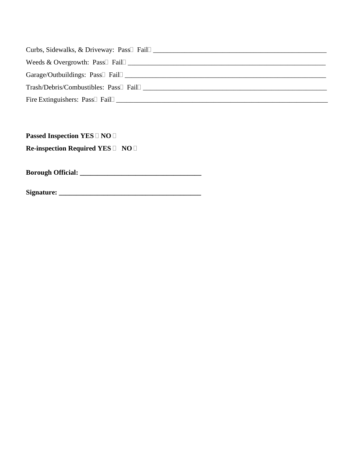| Curbs, Sidewalks, & Driveway: Pass Fail         |
|-------------------------------------------------|
| Weeds & Overgrowth: Pass $\Box$ Fail $\Box$     |
|                                                 |
| $Transh/Debris/Combutibles: Pas \Box Fail \Box$ |
|                                                 |

**Passed Inspection YES NO I** 

**Re-inspection Required YES NO** 

**Borough Official: \_\_\_\_\_\_\_\_\_\_\_\_\_\_\_\_\_\_\_\_\_\_\_\_\_\_\_\_\_\_\_\_\_\_\_**

**Signature: \_\_\_\_\_\_\_\_\_\_\_\_\_\_\_\_\_\_\_\_\_\_\_\_\_\_\_\_\_\_\_\_\_\_\_\_\_\_\_\_\_**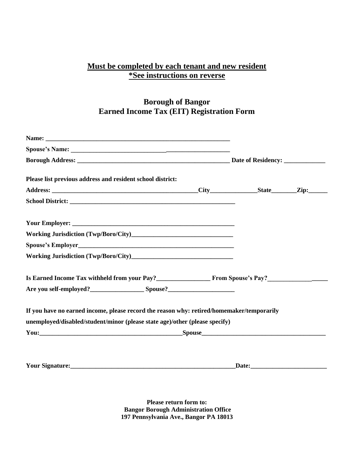### **Must be completed by each tenant and new resident \*See instructions on reverse**

### **Borough of Bangor Earned Income Tax (EIT) Registration Form**

| Please list previous address and resident school district:                                                                                                                                                                                                                                                                                                                                                      |  |  |  |  |  |
|-----------------------------------------------------------------------------------------------------------------------------------------------------------------------------------------------------------------------------------------------------------------------------------------------------------------------------------------------------------------------------------------------------------------|--|--|--|--|--|
|                                                                                                                                                                                                                                                                                                                                                                                                                 |  |  |  |  |  |
|                                                                                                                                                                                                                                                                                                                                                                                                                 |  |  |  |  |  |
|                                                                                                                                                                                                                                                                                                                                                                                                                 |  |  |  |  |  |
|                                                                                                                                                                                                                                                                                                                                                                                                                 |  |  |  |  |  |
|                                                                                                                                                                                                                                                                                                                                                                                                                 |  |  |  |  |  |
|                                                                                                                                                                                                                                                                                                                                                                                                                 |  |  |  |  |  |
| Is Earned Income Tax withheld from your Pay?<br><u>Example 2008</u> From Spouse's Pay?<br>Letter and the set of the set of the set of the set of the set of the set of the set of the set of the set of the set of the set of the set o                                                                                                                                                                         |  |  |  |  |  |
|                                                                                                                                                                                                                                                                                                                                                                                                                 |  |  |  |  |  |
| If you have no earned income, please record the reason why: retired/homemaker/temporarily<br>unemployed/disabled/student/minor (please state age)/other (please specify)<br><b>Spouse</b> Spouse Spouse Spouse Spouse Spouse Spouse Spouse Spouse Spouse Spouse Spouse Spouse Spouse Spouse Spouse Spouse Spouse Spouse Spouse Spouse Spouse Spouse Spouse Spouse Spouse Spouse Spouse Spouse Spouse Spouse Spo |  |  |  |  |  |
|                                                                                                                                                                                                                                                                                                                                                                                                                 |  |  |  |  |  |

**Please return form to: Bangor Borough Administration Office 197 Pennsylvania Ave., Bangor PA 18013**